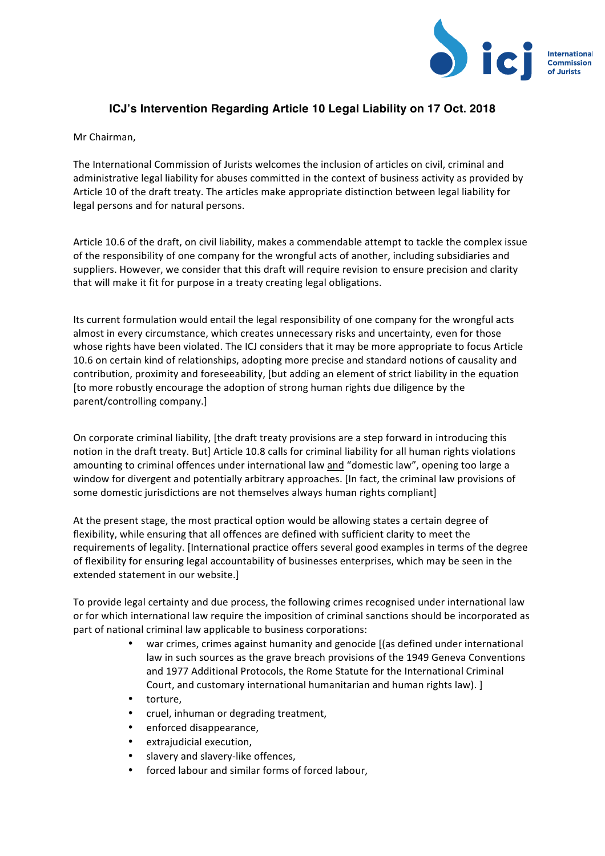

## **ICJ's Intervention Regarding Article 10 Legal Liability on 17 Oct. 2018**

Mr Chairman.

The International Commission of Jurists welcomes the inclusion of articles on civil, criminal and administrative legal liability for abuses committed in the context of business activity as provided by Article 10 of the draft treaty. The articles make appropriate distinction between legal liability for legal persons and for natural persons.

Article 10.6 of the draft, on civil liability, makes a commendable attempt to tackle the complex issue of the responsibility of one company for the wrongful acts of another, including subsidiaries and suppliers. However, we consider that this draft will require revision to ensure precision and clarity that will make it fit for purpose in a treaty creating legal obligations.

Its current formulation would entail the legal responsibility of one company for the wrongful acts almost in every circumstance, which creates unnecessary risks and uncertainty, even for those whose rights have been violated. The ICJ considers that it may be more appropriate to focus Article 10.6 on certain kind of relationships, adopting more precise and standard notions of causality and contribution, proximity and foreseeability, [but adding an element of strict liability in the equation [to more robustly encourage the adoption of strong human rights due diligence by the parent/controlling company.]

On corporate criminal liability, [the draft treaty provisions are a step forward in introducing this notion in the draft treaty. But] Article 10.8 calls for criminal liability for all human rights violations amounting to criminal offences under international law and "domestic law", opening too large a window for divergent and potentially arbitrary approaches. [In fact, the criminal law provisions of some domestic jurisdictions are not themselves always human rights compliant]

At the present stage, the most practical option would be allowing states a certain degree of flexibility, while ensuring that all offences are defined with sufficient clarity to meet the requirements of legality. [International practice offers several good examples in terms of the degree of flexibility for ensuring legal accountability of businesses enterprises, which may be seen in the extended statement in our website.]

To provide legal certainty and due process, the following crimes recognised under international law or for which international law require the imposition of criminal sanctions should be incorporated as part of national criminal law applicable to business corporations:

- war crimes, crimes against humanity and genocide [(as defined under international law in such sources as the grave breach provisions of the 1949 Geneva Conventions and 1977 Additional Protocols, the Rome Statute for the International Criminal Court, and customary international humanitarian and human rights law). 1
- torture,
- cruel, inhuman or degrading treatment,
- enforced disappearance,
- extrajudicial execution,
- slavery and slavery-like offences,
- forced labour and similar forms of forced labour,